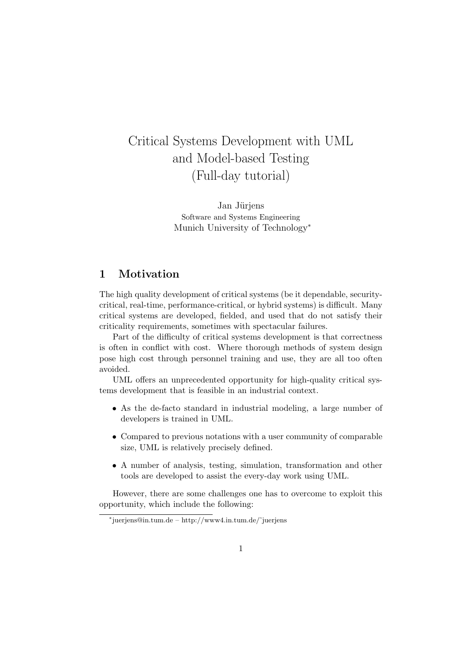# Critical Systems Development with UML and Model-based Testing (Full-day tutorial)

Jan Jüriens Software and Systems Engineering Munich University of Technology<sup>∗</sup>

# 1 Motivation

The high quality development of critical systems (be it dependable, securitycritical, real-time, performance-critical, or hybrid systems) is difficult. Many critical systems are developed, fielded, and used that do not satisfy their criticality requirements, sometimes with spectacular failures.

Part of the difficulty of critical systems development is that correctness is often in conflict with cost. Where thorough methods of system design pose high cost through personnel training and use, they are all too often avoided.

UML offers an unprecedented opportunity for high-quality critical systems development that is feasible in an industrial context.

- As the de-facto standard in industrial modeling, a large number of developers is trained in UML.
- Compared to previous notations with a user community of comparable size, UML is relatively precisely defined.
- A number of analysis, testing, simulation, transformation and other tools are developed to assist the every-day work using UML.

However, there are some challenges one has to overcome to exploit this opportunity, which include the following:

<sup>∗</sup> juerjens@in.tum.de – http://www4.in.tum.de/˜juerjens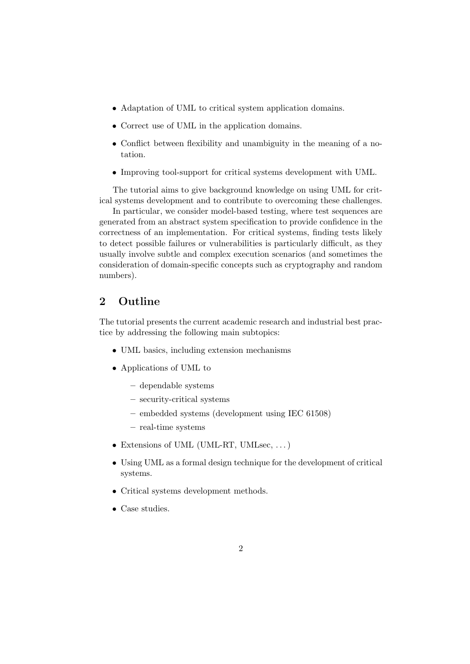- Adaptation of UML to critical system application domains.
- Correct use of UML in the application domains.
- Conflict between flexibility and unambiguity in the meaning of a notation.
- Improving tool-support for critical systems development with UML.

The tutorial aims to give background knowledge on using UML for critical systems development and to contribute to overcoming these challenges.

In particular, we consider model-based testing, where test sequences are generated from an abstract system specification to provide confidence in the correctness of an implementation. For critical systems, finding tests likely to detect possible failures or vulnerabilities is particularly difficult, as they usually involve subtle and complex execution scenarios (and sometimes the consideration of domain-specific concepts such as cryptography and random numbers).

### 2 Outline

The tutorial presents the current academic research and industrial best practice by addressing the following main subtopics:

- UML basics, including extension mechanisms
- Applications of UML to
	- dependable systems
	- security-critical systems
	- embedded systems (development using IEC 61508)
	- real-time systems
- Extensions of UML (UML-RT, UMLsec, ...)
- Using UML as a formal design technique for the development of critical systems.
- Critical systems development methods.
- Case studies.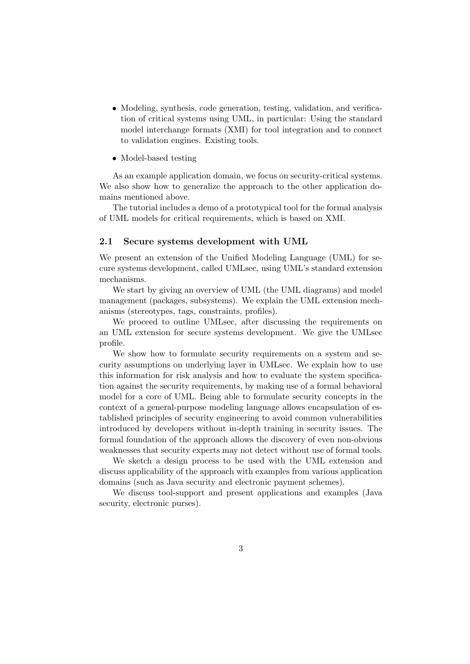• Modeling, synthesis, code generation, testing, validation, and verification of critical systems using UML, in particular: Using the standard model interchange formats (XMI) for tool integration and to connect to validation engines. Existing tools.

#### • Model-based testing

As an example application domain, we focus on security-critical systems. We also show how to generalize the approach to the other application domains mentioned above.

The tutorial includes a demo of a prototypical tool for the formal analysis of UML models for critical requirements, which is based on XMI.

#### 2.1 Secure systems development with UML

We present an extension of the Unified Modeling Language (UML) for secure systems development, called UMLsec, using UML's standard extension mechanisms.

We start by giving an overview of UML (the UML diagrams) and model management (packages, subsystems). We explain the UML extension mechanisms (stereotypes, tags, constraints, profiles).

We proceed to outline UMLsec, after discussing the requirements on an UML extension for secure systems development. We give the UMLsec profile.

We show how to formulate security requirements on a system and security assumptions on underlying layer in UMLsec. We explain how to use this information for risk analysis and how to evaluate the system specification against the security requirements, by making use of a formal behavioral model for a core of UML. Being able to formulate security concepts in the context of a general-purpose modeling language allows encapsulation of established principles of security engineering to avoid common vulnerabilities introduced by developers without in-depth training in security issues. The formal foundation of the approach allows the discovery of even non-obvious weaknesses that security experts may not detect without use of formal tools.

We sketch a design process to be used with the UML extension and discuss applicability of the approach with examples from various application domains (such as Java security and electronic payment schemes).

We discuss tool-support and present applications and examples (Java security, electronic purses).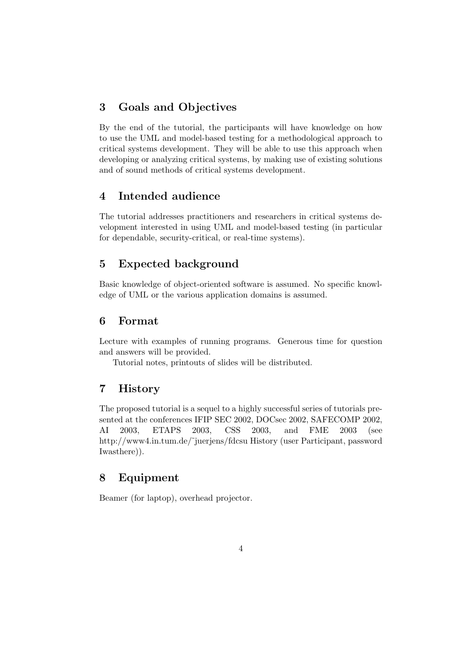# 3 Goals and Objectives

By the end of the tutorial, the participants will have knowledge on how to use the UML and model-based testing for a methodological approach to critical systems development. They will be able to use this approach when developing or analyzing critical systems, by making use of existing solutions and of sound methods of critical systems development.

## 4 Intended audience

The tutorial addresses practitioners and researchers in critical systems development interested in using UML and model-based testing (in particular for dependable, security-critical, or real-time systems).

# 5 Expected background

Basic knowledge of object-oriented software is assumed. No specific knowledge of UML or the various application domains is assumed.

#### 6 Format

Lecture with examples of running programs. Generous time for question and answers will be provided.

Tutorial notes, printouts of slides will be distributed.

### 7 History

The proposed tutorial is a sequel to a highly successful series of tutorials presented at the conferences IFIP SEC 2002, DOCsec 2002, SAFECOMP 2002, AI 2003, ETAPS 2003, CSS 2003, and FME 2003 (see http://www4.in.tum.de/~juerjens/fdcsu History (user Participant, password Iwasthere)).

# 8 Equipment

Beamer (for laptop), overhead projector.